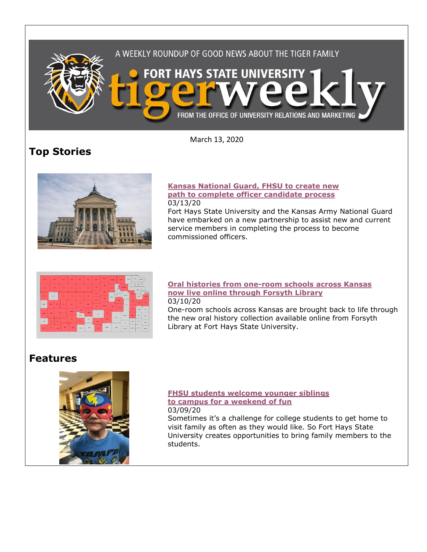

March 13, 2020

# **Top Stories**



#### **[Kansas National Guard, FHSU to create new](https://www.fhsu.edu/news/2020/03/kansas-national-guard,-fhsu-to-create-new-path-to-complete-officer-candidate-process)  [path to complete officer candidate process](https://www.fhsu.edu/news/2020/03/kansas-national-guard,-fhsu-to-create-new-path-to-complete-officer-candidate-process)** 03/13/20

Fort Hays State University and the Kansas Army National Guard have embarked on a new partnership to assist new and current service members in completing the process to become commissioned officers.



#### **[Oral histories from one-room schools across Kansas](https://www.fhsu.edu/news/2020/03/oral-histories-from-one-room-schools-across-kansas-now-live-online-through-forsyth-library)  [now live online through Forsyth Library](https://www.fhsu.edu/news/2020/03/oral-histories-from-one-room-schools-across-kansas-now-live-online-through-forsyth-library)** 03/10/20

One-room schools across Kansas are brought back to life through the new oral history collection available online from Forsyth Library at Fort Hays State University.

## **Features**



#### **[FHSU students welcome younger siblings](https://www.fhsu.edu/news/2020/03/fhsu-students-welcome-younger-siblings-to-campus-for-a-weekend-of-fun)  [to campus for a weekend of fun](https://www.fhsu.edu/news/2020/03/fhsu-students-welcome-younger-siblings-to-campus-for-a-weekend-of-fun)** 03/09/20

Sometimes it's a challenge for college students to get home to visit family as often as they would like. So Fort Hays State University creates opportunities to bring family members to the students.